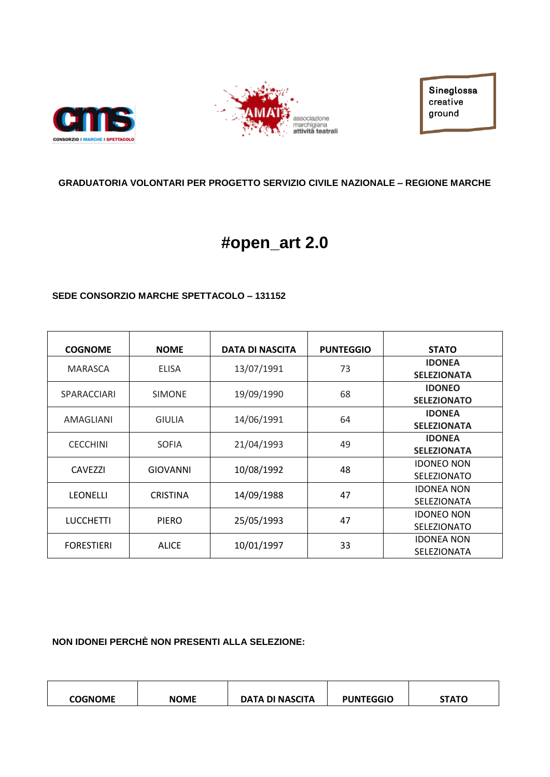



Sineglossa creative ground

#### **GRADUATORIA VOLONTARI PER PROGETTO SERVIZIO CIVILE NAZIONALE – REGIONE MARCHE**

# **#open\_art 2.0**

#### **SEDE CONSORZIO MARCHE SPETTACOLO – 131152**

| <b>COGNOME</b>     | <b>NOME</b>                                   | <b>DATA DI NASCITA</b> | <b>PUNTEGGIO</b>   | <b>STATO</b>       |
|--------------------|-----------------------------------------------|------------------------|--------------------|--------------------|
| <b>MARASCA</b>     | <b>ELISA</b>                                  | 13/07/1991             | 73                 | <b>IDONEA</b>      |
|                    |                                               |                        |                    | <b>SELEZIONATA</b> |
| <b>SPARACCIARI</b> | <b>SIMONE</b>                                 | 19/09/1990             | 68                 | <b>IDONEO</b>      |
|                    |                                               |                        |                    | <b>SELEZIONATO</b> |
| AMAGLIANI          | <b>GIULIA</b>                                 | 14/06/1991             | 64                 | <b>IDONEA</b>      |
|                    |                                               |                        |                    | <b>SELEZIONATA</b> |
|                    | 21/04/1993<br><b>CECCHINI</b><br><b>SOFIA</b> |                        | 49                 | <b>IDONEA</b>      |
|                    |                                               |                        | <b>SELEZIONATA</b> |                    |
| <b>CAVEZZI</b>     | <b>GIOVANNI</b>                               | 10/08/1992             | 48                 | <b>IDONEO NON</b>  |
|                    |                                               |                        |                    | <b>SELEZIONATO</b> |
| <b>LEONELLI</b>    | <b>CRISTINA</b>                               | 14/09/1988             | 47                 | <b>IDONEA NON</b>  |
|                    |                                               |                        |                    | <b>SELEZIONATA</b> |
| <b>LUCCHETTI</b>   | <b>PIERO</b>                                  | 25/05/1993             | 47                 | <b>IDONEO NON</b>  |
|                    |                                               |                        |                    | <b>SELEZIONATO</b> |
| <b>FORESTIERI</b>  | <b>ALICE</b>                                  | 10/01/1997             | 33                 | <b>IDONEA NON</b>  |
|                    |                                               |                        |                    | <b>SELEZIONATA</b> |

**NON IDONEI PERCHÈ NON PRESENTI ALLA SELEZIONE:**

| <b>COGNOME</b> | <b>NOME</b> | DATA DI NASCITA | <b>PUNTEGGIO</b> | <b>стлт</b> о |
|----------------|-------------|-----------------|------------------|---------------|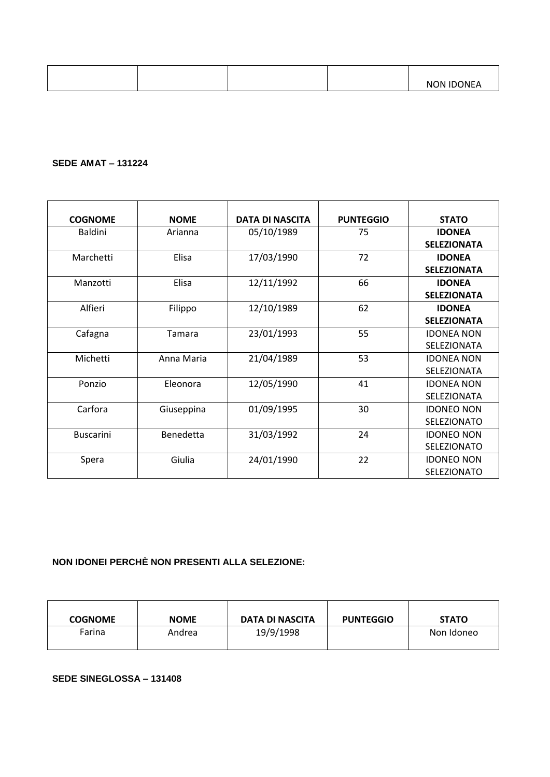| $\cdots$<br>NON IDC<br>∵INE.<br>$\cdots$ |
|------------------------------------------|
|------------------------------------------|

#### **SEDE AMAT – 131224**

| <b>COGNOME</b>   | <b>NOME</b> | <b>DATA DI NASCITA</b> | <b>PUNTEGGIO</b> | <b>STATO</b>       |
|------------------|-------------|------------------------|------------------|--------------------|
| <b>Baldini</b>   | Arianna     | 05/10/1989             | 75               | <b>IDONEA</b>      |
|                  |             |                        |                  | <b>SELEZIONATA</b> |
| Marchetti        | Elisa       | 17/03/1990             | 72               | <b>IDONEA</b>      |
|                  |             |                        |                  | <b>SELEZIONATA</b> |
| Manzotti         | Elisa       | 12/11/1992             | 66               | <b>IDONEA</b>      |
|                  |             |                        |                  | <b>SELEZIONATA</b> |
| Alfieri          | Filippo     | 12/10/1989             | 62               | <b>IDONEA</b>      |
|                  |             |                        |                  | <b>SELEZIONATA</b> |
| Cafagna          | Tamara      | 23/01/1993             | 55               | <b>IDONEA NON</b>  |
|                  |             |                        |                  | SELEZIONATA        |
| Michetti         | Anna Maria  | 21/04/1989             | 53               | <b>IDONEA NON</b>  |
|                  |             |                        |                  | SELEZIONATA        |
| Ponzio           | Eleonora    | 12/05/1990             | 41               | <b>IDONEA NON</b>  |
|                  |             |                        |                  | SELEZIONATA        |
| Carfora          | Giuseppina  | 01/09/1995             | 30               | <b>IDONEO NON</b>  |
|                  |             |                        |                  | SELEZIONATO        |
| <b>Buscarini</b> | Benedetta   | 31/03/1992             | 24               | <b>IDONEO NON</b>  |
|                  |             |                        |                  | <b>SELEZIONATO</b> |
| Spera            | Giulia      | 24/01/1990             | 22               | <b>IDONEO NON</b>  |
|                  |             |                        |                  | <b>SELEZIONATO</b> |

### **NON IDONEI PERCHÈ NON PRESENTI ALLA SELEZIONE:**

| <b>COGNOME</b> | <b>NOME</b> | DATA DI NASCITA | <b>PUNTEGGIO</b> | <b>STATO</b> |
|----------------|-------------|-----------------|------------------|--------------|
| Farina         | Andrea      | 19/9/1998       |                  | Non Idoneo   |

#### **SEDE SINEGLOSSA – 131408**